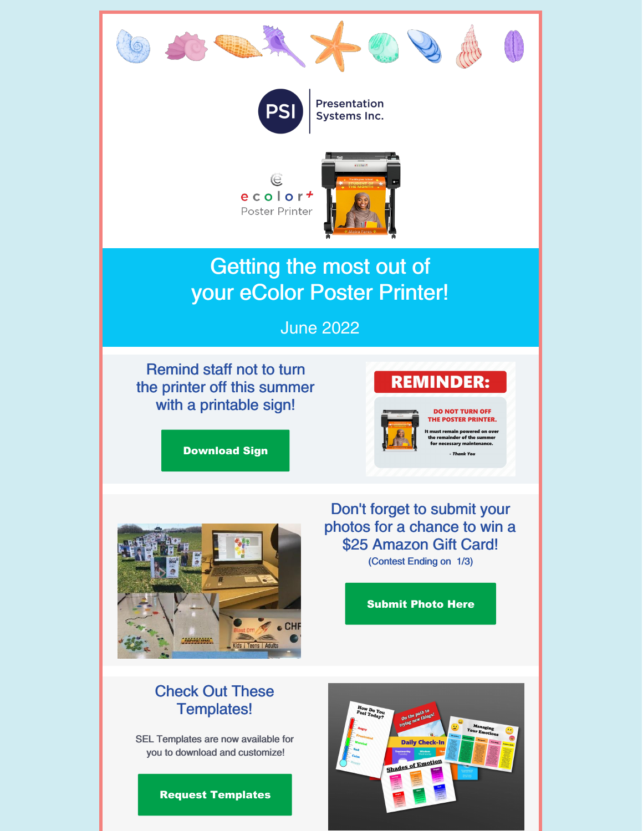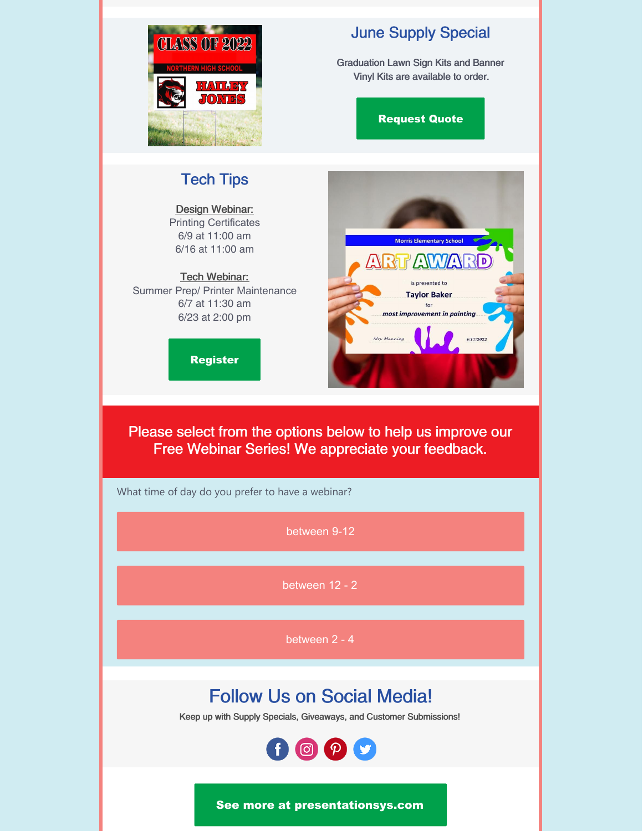

## June Supply Special

Graduation Lawn Sign Kits and Banner Vinyl Kits are available to order.

[Request](https://form.jotform.com/220546062918153) Quote

### Tech Tips

Design Webinar: Printing Certificates 6/9 at 11:00 am 6/16 at 11:00 am

### Tech Webinar:

Summer Prep/ Printer Maintenance 6/7 at 11:30 am 6/23 at 2:00 pm

[Register](https://form.jotform.com/212806953305152)



Please select from the options below to help us improve our Free Webinar Series! We appreciate your feedback.

What time of day do you prefer to have a webinar?

[between](https://campaignlp.constantcontact.com/forms/response?id=3PTuLAbEfD6I8_3BvO8Dyw2t9mHnmSeJV5bcA1xN4YQNAIz8UPsn7EalBmhSp-yiFOnTcD_752XB-Fw8qSHvRI4r8v-7Aojq8eqReSH8mnrUFLHaB6N5PLPlvq5d8opUwXTErEg2HxzwR1B9ErYhzia0IPFTNAjMdnblDUnEqZxdp3ZBxpA7Bp9sjVwRWLXquzWk_BooTyXFYMefTsr-aw&encVer=1&c=&ch=) 9-12

[between](https://campaignlp.constantcontact.com/forms/response?id=3PTuLAbEfD6I8_3BvO8Dyw2t9mHnmSeJV5bcA1xN4YQNAIz8UPsn7EalBmhSp-yiFOnTcD_752XB-Fw8qSHvRI4r8v-7Aojq8eqReSH8mnrUFLHaB6N5PLPlvq5d8opUwXTErEg2HxzwR1B9ErYhzia0IPFTNAjMdnblDUnEqZxdp3ZBxpA7Bp9sjVwRWLXquzWk_BooTyXXN6S9LkQxSg&encVer=1&c=&ch=) 12 - 2

[between](https://campaignlp.constantcontact.com/forms/response?id=3PTuLAbEfD6I8_3BvO8Dyw2t9mHnmSeJV5bcA1xN4YQNAIz8UPsn7EalBmhSp-yiFOnTcD_752XB-Fw8qSHvRI4r8v-7Aojq8eqReSH8mnrUFLHaB6N5PLPlvq5d8opUwXTErEg2HxzwR1B9ErYhzia0IPFTNAjMdnblDUnEqZxdp3ZBxpA7Bp9sjVwRWLXquzWk_BooTyWrUSvPlZJhEA&encVer=1&c=&ch=) 2 - 4

# Follow Us on Social Media!

Keep up with Supply Specials, Giveaways, and Customer Submissions!



See more at [presentationsys.com](http://presentationsys.com)